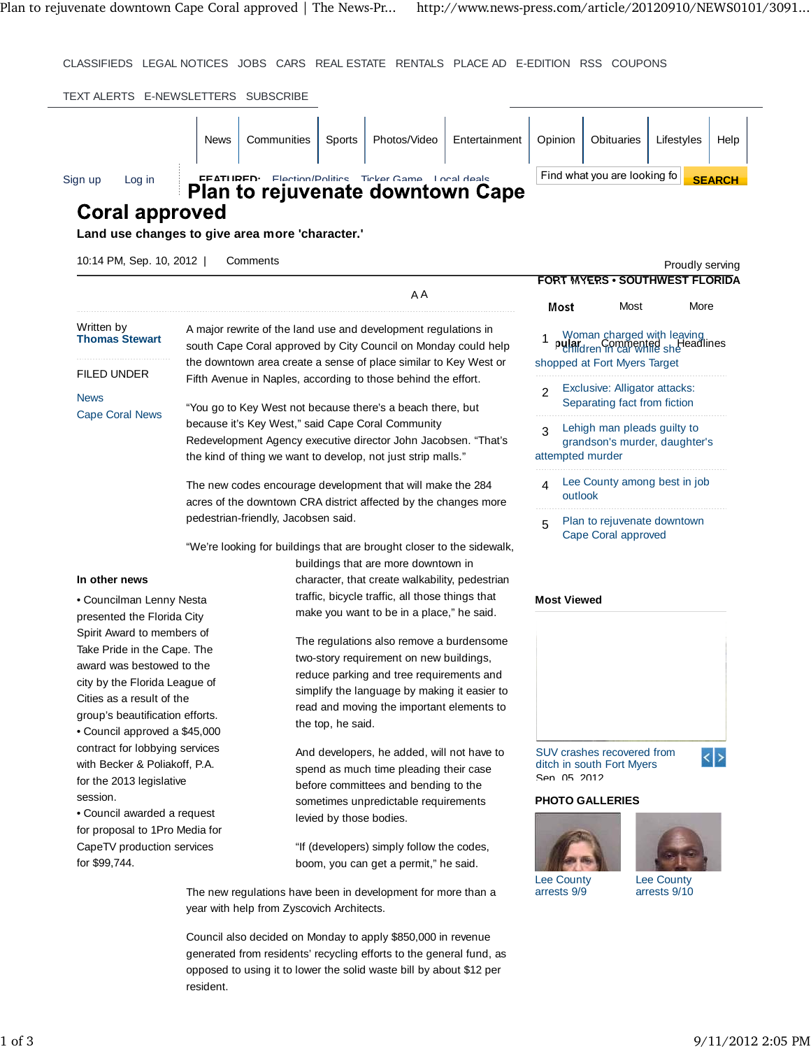CLASSIFIEDS LEGAL NOTICES JOBS CARS REAL ESTATE RENTALS PLACE AD E-EDITION RSS COUPONS

| Sign up<br>Log in                                         |                                                                                                                                  |                                                                                                                                   |                                                                | FEATURED: Flection/Politics Ticker Game Local deals | <b>Plan to rejuvenate downtown Cape</b>         |                                                                                       | Find what you are looking fo          |                 | <b>SEARCH</b> |
|-----------------------------------------------------------|----------------------------------------------------------------------------------------------------------------------------------|-----------------------------------------------------------------------------------------------------------------------------------|----------------------------------------------------------------|-----------------------------------------------------|-------------------------------------------------|---------------------------------------------------------------------------------------|---------------------------------------|-----------------|---------------|
| <b>Coral approved</b>                                     |                                                                                                                                  |                                                                                                                                   |                                                                |                                                     |                                                 |                                                                                       |                                       |                 |               |
| Land use changes to give area more 'character.'           |                                                                                                                                  |                                                                                                                                   |                                                                |                                                     |                                                 |                                                                                       |                                       |                 |               |
|                                                           |                                                                                                                                  |                                                                                                                                   |                                                                |                                                     |                                                 |                                                                                       |                                       |                 |               |
| 10:14 PM, Sep. 10, 2012                                   |                                                                                                                                  | Comments                                                                                                                          |                                                                |                                                     |                                                 |                                                                                       |                                       | Proudly serving |               |
|                                                           |                                                                                                                                  |                                                                                                                                   |                                                                | A A                                                 |                                                 |                                                                                       | <b>FORT MYERS • SOUTHWEST FLORIDA</b> |                 |               |
|                                                           |                                                                                                                                  |                                                                                                                                   |                                                                |                                                     |                                                 | Most                                                                                  | Most                                  | More            |               |
| Written by<br><b>Thomas Stewart</b>                       | A major rewrite of the land use and development regulations in<br>south Cape Coral approved by City Council on Monday could help |                                                                                                                                   |                                                                |                                                     |                                                 |                                                                                       |                                       |                 |               |
|                                                           |                                                                                                                                  |                                                                                                                                   |                                                                |                                                     |                                                 | Woman charged with leaving<br><b>pular</b> Commented she readlines                    |                                       |                 |               |
| FILED UNDER                                               |                                                                                                                                  | the downtown area create a sense of place similar to Key West or<br>Fifth Avenue in Naples, according to those behind the effort. |                                                                |                                                     | shopped at Fort Myers Target                    |                                                                                       |                                       |                 |               |
|                                                           |                                                                                                                                  |                                                                                                                                   |                                                                |                                                     | Exclusive: Alligator attacks:<br>$\mathfrak{p}$ |                                                                                       |                                       |                 |               |
| <b>News</b><br><b>Cape Coral News</b>                     | "You go to Key West not because there's a beach there, but                                                                       |                                                                                                                                   |                                                                |                                                     |                                                 | Separating fact from fiction                                                          |                                       |                 |               |
|                                                           | because it's Key West," said Cape Coral Community                                                                                |                                                                                                                                   |                                                                |                                                     |                                                 | Lehigh man pleads guilty to<br>3<br>grandson's murder, daughter's<br>attempted murder |                                       |                 |               |
|                                                           | Redevelopment Agency executive director John Jacobsen. "That's                                                                   |                                                                                                                                   |                                                                |                                                     |                                                 |                                                                                       |                                       |                 |               |
|                                                           | the kind of thing we want to develop, not just strip malls."                                                                     |                                                                                                                                   |                                                                |                                                     |                                                 |                                                                                       |                                       |                 |               |
|                                                           | The new codes encourage development that will make the 284                                                                       |                                                                                                                                   |                                                                |                                                     |                                                 | Lee County among best in job<br>4<br>outlook<br>Plan to rejuvenate downtown<br>5      |                                       |                 |               |
|                                                           | acres of the downtown CRA district affected by the changes more                                                                  |                                                                                                                                   |                                                                |                                                     |                                                 |                                                                                       |                                       |                 |               |
|                                                           | pedestrian-friendly, Jacobsen said.                                                                                              |                                                                                                                                   |                                                                |                                                     |                                                 |                                                                                       |                                       |                 |               |
|                                                           |                                                                                                                                  | "We're looking for buildings that are brought closer to the sidewalk,                                                             |                                                                |                                                     |                                                 |                                                                                       | Cape Coral approved                   |                 |               |
|                                                           |                                                                                                                                  | buildings that are more downtown in                                                                                               |                                                                |                                                     |                                                 |                                                                                       |                                       |                 |               |
| In other news                                             |                                                                                                                                  | character, that create walkability, pedestrian                                                                                    |                                                                |                                                     |                                                 |                                                                                       |                                       |                 |               |
| • Councilman Lenny Nesta                                  |                                                                                                                                  |                                                                                                                                   | traffic, bicycle traffic, all those things that                |                                                     |                                                 |                                                                                       | <b>Most Viewed</b>                    |                 |               |
| presented the Florida City                                |                                                                                                                                  |                                                                                                                                   |                                                                | make you want to be in a place," he said.           |                                                 |                                                                                       |                                       |                 |               |
| Spirit Award to members of                                |                                                                                                                                  |                                                                                                                                   | The regulations also remove a burdensome                       |                                                     |                                                 |                                                                                       |                                       |                 |               |
| Take Pride in the Cape. The<br>award was bestowed to the  |                                                                                                                                  |                                                                                                                                   | two-story requirement on new buildings,                        |                                                     |                                                 |                                                                                       |                                       |                 |               |
| city by the Florida League of                             |                                                                                                                                  |                                                                                                                                   | reduce parking and tree requirements and                       |                                                     |                                                 |                                                                                       |                                       |                 |               |
| Cities as a result of the                                 |                                                                                                                                  |                                                                                                                                   | simplify the language by making it easier to                   |                                                     |                                                 |                                                                                       |                                       |                 |               |
| group's beautification efforts.                           |                                                                                                                                  |                                                                                                                                   | read and moving the important elements to<br>the top, he said. |                                                     |                                                 |                                                                                       |                                       |                 |               |
| • Council approved a \$45,000                             |                                                                                                                                  |                                                                                                                                   |                                                                |                                                     |                                                 |                                                                                       |                                       |                 |               |
| contract for lobbying services                            |                                                                                                                                  |                                                                                                                                   | And developers, he added, will not have to                     |                                                     |                                                 |                                                                                       | SUV crashes recovered from            |                 | $<$ $>$       |
| with Becker & Poliakoff, P.A.<br>for the 2013 legislative |                                                                                                                                  |                                                                                                                                   | spend as much time pleading their case                         |                                                     |                                                 | Sen 05 2012                                                                           | ditch in south Fort Myers             |                 |               |
| session.                                                  |                                                                                                                                  | before committees and bending to the<br>sometimes unpredictable requirements                                                      |                                                                |                                                     | <b>PHOTO GALLERIES</b>                          |                                                                                       |                                       |                 |               |
| • Council awarded a request                               |                                                                                                                                  | levied by those bodies.                                                                                                           |                                                                |                                                     |                                                 |                                                                                       |                                       |                 |               |
| for proposal to 1Pro Media for                            |                                                                                                                                  | "If (developers) simply follow the codes,                                                                                         |                                                                |                                                     |                                                 |                                                                                       |                                       |                 |               |
| CapeTV production services                                |                                                                                                                                  |                                                                                                                                   |                                                                |                                                     |                                                 |                                                                                       |                                       |                 |               |
| for \$99,744.                                             |                                                                                                                                  |                                                                                                                                   | boom, you can get a permit," he said.                          |                                                     | <b>Lee County</b>                               |                                                                                       | <b>Lee County</b>                     |                 |               |
|                                                           | The new regulations have been in development for more than a                                                                     |                                                                                                                                   |                                                                |                                                     |                                                 | arrests 9/9                                                                           |                                       | arrests 9/10    |               |
|                                                           |                                                                                                                                  | year with help from Zyscovich Architects.                                                                                         |                                                                |                                                     |                                                 |                                                                                       |                                       |                 |               |

resident.